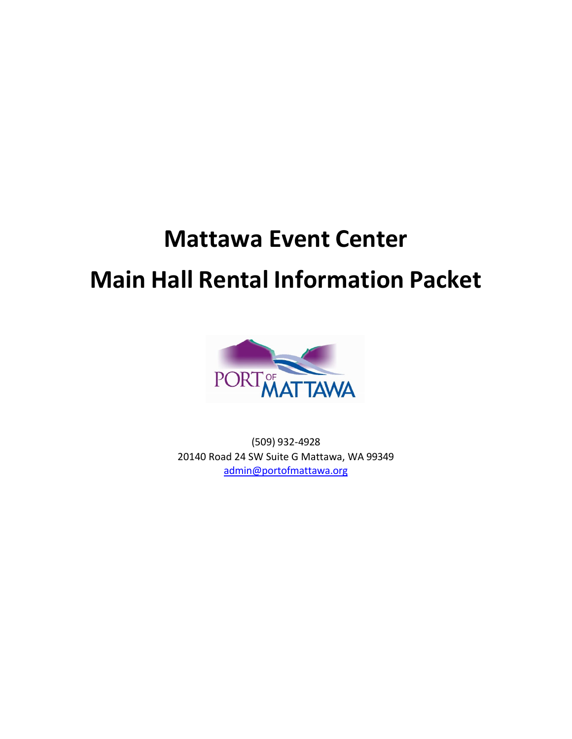# **Mattawa Event Center Main Hall Rental Information Packet**



(509) 932-4928 20140 Road 24 SW Suite G Mattawa, WA 99349 [admin@portofmattawa.org](mailto:admin@portofmattawa.org)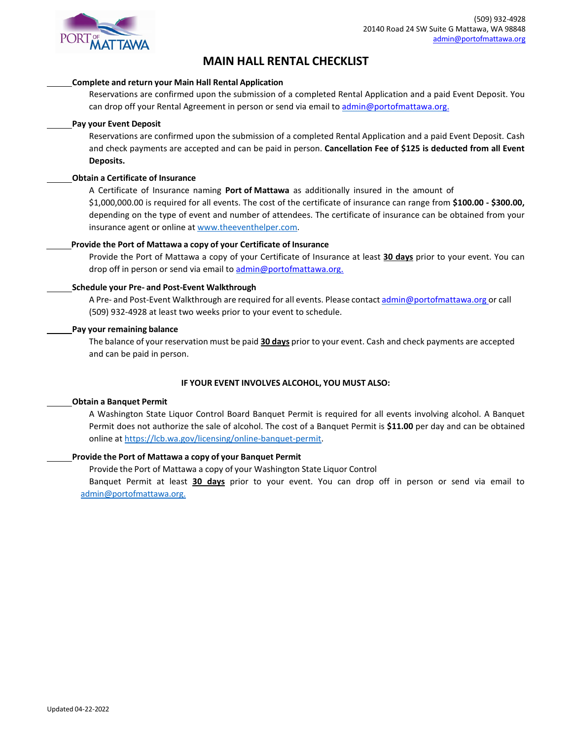

# **MAIN HALL RENTAL CHECKLIST**

#### **Complete and return your Main Hall Rental Application**

Reservations are confirmed upon the submission of a completed Rental Application and a paid Event Deposit. You can drop off your Rental Agreement in person or send via email to [admin@portofmattawa.org.](mailto:admin@portofmattawa.org.)

#### **Pay your Event Deposit**

Reservations are confirmed upon the submission of a completed Rental Application and a paid Event Deposit. Cash and check payments are accepted and can be paid in person. **Cancellation Fee of \$125 is deducted from all Event Deposits.**

#### **Obtain a Certificate of Insurance**

A Certificate of Insurance naming **Port of Mattawa** as additionally insured in the amount of \$1,000,000.00 is required for all events. The cost of the certificate of insurance can range from **\$100.00 - \$300.00,**  depending on the type of event and number of attendees. The certificate of insurance can be obtained from your insurance agent or online a[t www.theeventhelper.com.](http://www.theeventhelper.com/)

#### **Provide the Port of Mattawa a copy of your Certificate of Insurance**

Provide the Port of Mattawa a copy of your Certificate of Insurance at least **30 days** prior to your event. You can drop off in person or send via email to [admin@portofmattawa.org.](mailto:admin@portofmattawa.org.)

#### **Schedule your Pre- and Post-Event Walkthrough**

A Pre- and Post-Event Walkthrough are required for all events. Please contact [admin@portofmattawa.org](mailto:admin@portofmattawa.org) or call (509) 932-4928 at least two weeks prior to your event to schedule.

#### **Pay your remaining balance**

The balance of your reservation must be paid **30 days** prior to your event. Cash and check payments are accepted and can be paid in person.

#### **IF YOUR EVENT INVOLVES ALCOHOL, YOU MUST ALSO:**

#### **Obtain a Banquet Permit**

A Washington State Liquor Control Board Banquet Permit is required for all events involving alcohol. A Banquet Permit does not authorize the sale of alcohol. The cost of a Banquet Permit is **\$11.00** per day and can be obtained online a[t https://lcb.wa.gov/licensing/online-banquet-permit.](https://lcb.wa.gov/licensing/online-banquet-permit)

#### **Provide the Port of Mattawa a copy of your Banquet Permit**

Provide the Port of Mattawa a copy of your Washington State Liquor Control

Banquet Permit at least **30 days** prior to your event. You can drop off in person or send via email to admin@portofmattawa.org.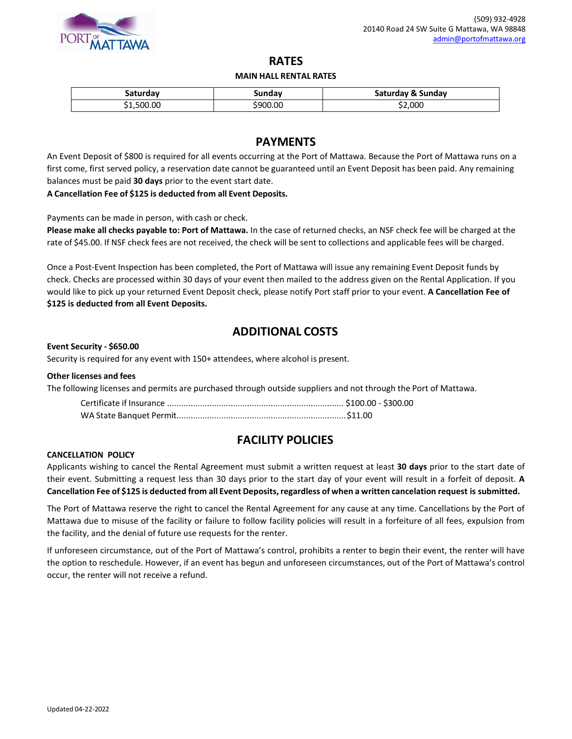

## **RATES**

#### **MAIN HALL RENTAL RATES**

| saturday   | Sunday   | Saturday & Sunday |
|------------|----------|-------------------|
| \$1,500.00 | \$900.00 | \$2,000           |

## **PAYMENTS**

An Event Deposit of \$800 is required for all events occurring at the Port of Mattawa. Because the Port of Mattawa runs on a first come, first served policy, a reservation date cannot be guaranteed until an Event Deposit has been paid. Any remaining balances must be paid **30 days** prior to the event start date.

**A Cancellation Fee of \$125 is deducted from all Event Deposits.**

Payments can be made in person, with cash or check.

**Please make all checks payable to: Port of Mattawa.** In the case of returned checks, an NSF check fee will be charged at the rate of \$45.00. If NSF check fees are not received, the check will be sent to collections and applicable fees will be charged.

Once a Post-Event Inspection has been completed, the Port of Mattawa will issue any remaining Event Deposit funds by check. Checks are processed within 30 days of your event then mailed to the address given on the Rental Application. If you would like to pick up your returned Event Deposit check, please notify Port staff prior to your event. **A Cancellation Fee of \$125 is deducted from all Event Deposits.**

## **ADDITIONAL COSTS**

#### **Event Security - \$650.00**

Security is required for any event with 150+ attendees, where alcohol is present.

#### **Other licenses and fees**

The following licenses and permits are purchased through outside suppliers and not through the Port of Mattawa.

## **FACILITY POLICIES**

#### **CANCELLATION POLICY**

Applicants wishing to cancel the Rental Agreement must submit a written request at least **30 days** prior to the start date of their event. Submitting a request less than 30 days prior to the start day of your event will result in a forfeit of deposit. **A** Cancellation Fee of \$125 is deducted from all Event Deposits, regardless of when a written cancelation request is submitted.

The Port of Mattawa reserve the right to cancel the Rental Agreement for any cause at any time. Cancellations by the Port of Mattawa due to misuse of the facility or failure to follow facility policies will result in a forfeiture of all fees, expulsion from the facility, and the denial of future use requests for the renter.

If unforeseen circumstance, out of the Port of Mattawa's control, prohibits a renter to begin their event, the renter will have the option to reschedule. However, if an event has begun and unforeseen circumstances, out of the Port of Mattawa's control occur, the renter will not receive a refund.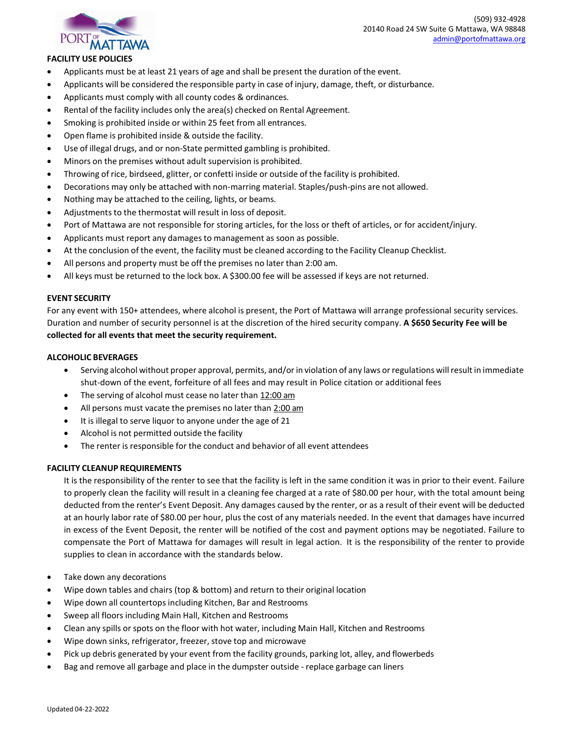

## **FACILITY USE POLICIES**

- Applicants must be at least 21 years of age and shall be present the duration of the event.
- Applicants will be considered the responsible party in case of injury, damage, theft, or disturbance.
- Applicants must comply with all county codes & ordinances.
- Rental of the facility includes only the area(s) checked on Rental Agreement.
- Smoking is prohibited inside or within 25 feet from all entrances.
- Open flame is prohibited inside & outside the facility.
- Use of illegal drugs, and or non-State permitted gambling is prohibited.
- Minors on the premises without adult supervision is prohibited.
- Throwing of rice, birdseed, glitter, or confetti inside or outside of the facility is prohibited.
- Decorations may only be attached with non-marring material. Staples/push-pins are not allowed.
- Nothing may be attached to the ceiling, lights, or beams.
- Adjustments to the thermostat will result in loss of deposit.
- Port of Mattawa are not responsible for storing articles, for the loss or theft of articles, or for accident/injury.
- Applicants must report any damages to management as soon as possible.
- At the conclusion of the event, the facility must be cleaned according to the Facility Cleanup Checklist.
- All persons and property must be off the premises no later than 2:00 am.
- All keys must be returned to the lock box. A \$300.00 fee will be assessed if keys are not returned.

#### **EVENT SECURITY**

For any event with 150+ attendees, where alcohol is present, the Port of Mattawa will arrange professional security services. Duration and number of security personnel is at the discretion of the hired security company. **A \$650 Security Fee will be collected for all events that meet the security requirement.**

#### **ALCOHOLIC BEVERAGES**

- Serving alcohol without proper approval, permits, and/orin violation of any laws orregulations willresult in immediate shut-down of the event, forfeiture of all fees and may result in Police citation or additional fees
- The serving of alcohol must cease no later than 12:00 am
- All persons must vacate the premises no later than 2:00 am
- It is illegal to serve liquor to anyone under the age of 21
- Alcohol is not permitted outside the facility
- The renter is responsible for the conduct and behavior of all event attendees

#### **FACILITY CLEANUP REQUIREMENTS**

It is the responsibility of the renter to see that the facility is left in the same condition it was in prior to their event. Failure to properly clean the facility will result in a cleaning fee charged at a rate of \$80.00 per hour, with the total amount being deducted from the renter's Event Deposit. Any damages caused by the renter, or as a result of their event will be deducted at an hourly labor rate of \$80.00 per hour, plus the cost of any materials needed. In the event that damages have incurred in excess of the Event Deposit, the renter will be notified of the cost and payment options may be negotiated. Failure to compensate the Port of Mattawa for damages will result in legal action. It is the responsibility of the renter to provide supplies to clean in accordance with the standards below.

- Take down any decorations
- Wipe down tables and chairs (top & bottom) and return to their original location
- Wipe down all countertops including Kitchen, Bar and Restrooms
- Sweep all floors including Main Hall, Kitchen and Restrooms
- Clean any spills or spots on the floor with hot water, including Main Hall, Kitchen and Restrooms
- Wipe down sinks, refrigerator, freezer, stove top and microwave
- Pick up debris generated by your event from the facility grounds, parking lot, alley, and flowerbeds
- Bag and remove all garbage and place in the dumpster outside replace garbage can liners